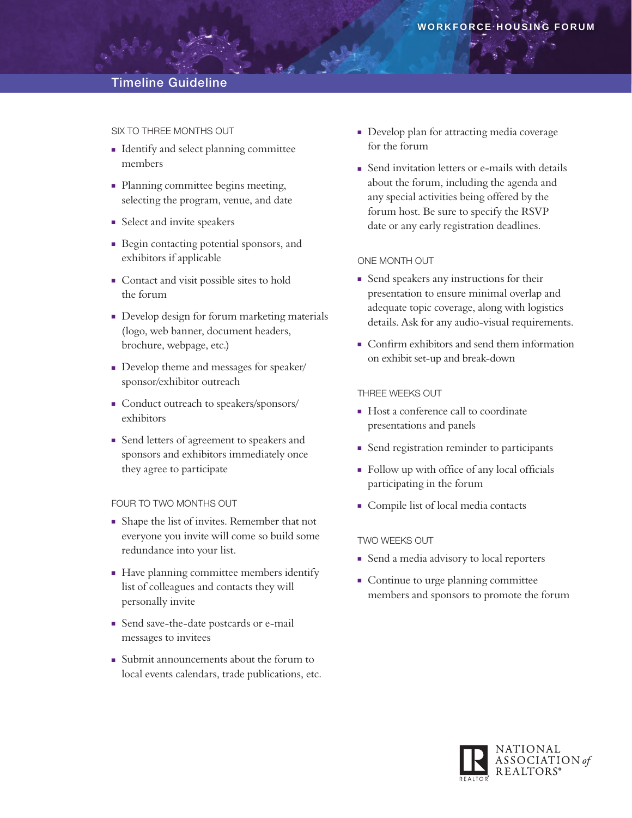# Timeline Guideline

Six to Three Months Out

- <sup>n</sup> Identify and select planning committee members
- Planning committee begins meeting, selecting the program, venue, and date
- **n** Select and invite speakers
- <sup>n</sup> Begin contacting potential sponsors, and exhibitors if applicable
- Contact and visit possible sites to hold the forum
- **Develop design for forum marketing materials** (logo, web banner, document headers, brochure, webpage, etc.)
- Develop theme and messages for speaker/ sponsor/exhibitor outreach
- Conduct outreach to speakers/sponsors/ exhibitors
- <sup>n</sup> Send letters of agreement to speakers and sponsors and exhibitors immediately once they agree to participate

## FOUR TO TWO MONTHS OUT

- <sup>n</sup> Shape the list of invites. Remember that not everyone you invite will come so build some redundance into your list.
- Have planning committee members identify list of colleagues and contacts they will personally invite
- <sup>n</sup> Send save-the-date postcards or e-mail messages to invitees
- <sup>n</sup> Submit announcements about the forum to local events calendars, trade publications, etc.
- **Develop plan for attracting media coverage** for the forum
- Send invitation letters or e-mails with details about the forum, including the agenda and any special activities being offered by the forum host. Be sure to specify the RSVP date or any early registration deadlines.

## One Month Out

- **n** Send speakers any instructions for their presentation to ensure minimal overlap and adequate topic coverage, along with logistics details. Ask for any audio-visual requirements.
- <sup>n</sup> Confirm exhibitors and send them information on exhibit set-up and break-down

## Three Weeks Out

- $\blacksquare$  Host a conference call to coordinate presentations and panels
- **n** Send registration reminder to participants
- Follow up with office of any local officials participating in the forum
- <sup>n</sup> Compile list of local media contacts

## Two Weeks Out

- Send a media advisory to local reporters
- Continue to urge planning committee members and sponsors to promote the forum